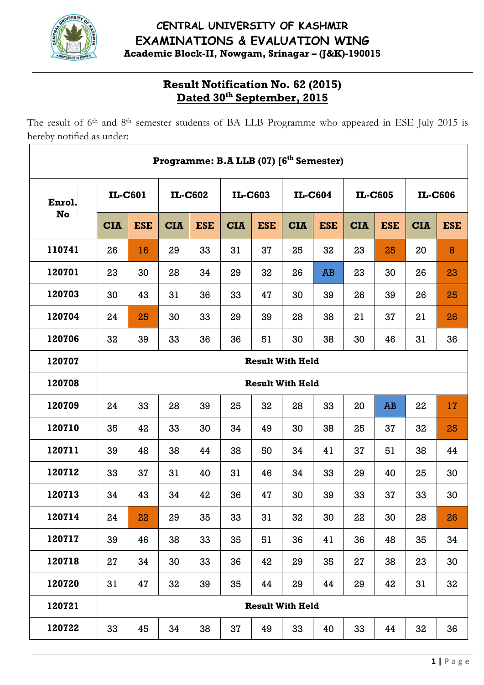

# **CENTRAL UNIVERSITY OF KASHMIR EXAMINATIONS & EVALUATION WING Academic Block-II, Nowgam, Srinagar – (J&K)-190015**

# **Result Notification No. 62 (2015) Dated 30th September, 2015**

The result of 6<sup>th</sup> and 8<sup>th</sup> semester students of BA LLB Programme who appeared in ESE July 2015 is hereby notified as under:

| Programme: B.A LLB (07) [6 <sup>th</sup> Semester) |                         |                         |            |            |            |                         |            |            |            |            |            |            |
|----------------------------------------------------|-------------------------|-------------------------|------------|------------|------------|-------------------------|------------|------------|------------|------------|------------|------------|
| Enrol.<br>No                                       | IL-C601                 |                         | IL-C602    |            | IL-C603    |                         | IL-C604    |            | IL-C605    |            | IL-C606    |            |
|                                                    | <b>CIA</b>              | <b>ESE</b>              | <b>CIA</b> | <b>ESE</b> | <b>CIA</b> | <b>ESE</b>              | <b>CIA</b> | <b>ESE</b> | <b>CIA</b> | <b>ESE</b> | <b>CIA</b> | <b>ESE</b> |
| 110741                                             | 26                      | 16                      | 29         | 33         | 31         | 37                      | 25         | 32         | 23         | 25         | 20         | 8          |
| 120701                                             | 23                      | 30                      | 28         | 34         | 29         | 32                      | 26         | AB         | 23         | 30         | 26         | 23         |
| 120703                                             | 30                      | 43                      | 31         | 36         | 33         | 47                      | 30         | 39         | 26         | 39         | 26         | 25         |
| 120704                                             | 24                      | 25                      | 30         | 33         | 29         | 39                      | 28         | 38         | 21         | 37         | 21         | 26         |
| 120706                                             | 32                      | 39                      | 33         | 36         | 36         | 51                      | 30         | 38         | 30         | 46         | 31         | 36         |
| 120707                                             | <b>Result With Held</b> |                         |            |            |            |                         |            |            |            |            |            |            |
| 120708                                             |                         | <b>Result With Held</b> |            |            |            |                         |            |            |            |            |            |            |
| 120709                                             | 24                      | 33                      | 28         | 39         | 25         | 32                      | 28         | 33         | 20         | <b>AB</b>  | 22         | 17         |
| 120710                                             | 35                      | 42                      | 33         | 30         | 34         | 49                      | 30         | 38         | 25         | 37         | 32         | 25         |
| 120711                                             | 39                      | 48                      | 38         | 44         | 38         | 50                      | 34         | 41         | 37         | 51         | 38         | 44         |
| 120712                                             | 33                      | 37                      | 31         | 40         | 31         | 46                      | 34         | 33         | 29         | 40         | 25         | 30         |
| 120713                                             | 34                      | 43                      | 34         | 42         | 36         | 47                      | 30         | 39         | 33         | 37         | 33         | 30         |
| 120714                                             | 24                      | 22                      | 29         | 35         | 33         | 31                      | 32         | 30         | 22         | 30         | 28         | 26         |
| 120717                                             | 39                      | 46                      | 38         | 33         | 35         | 51                      | 36         | 41         | 36         | 48         | 35         | 34         |
| 120718                                             | 27                      | 34                      | 30         | 33         | 36         | 42                      | 29         | 35         | 27         | 38         | 23         | 30         |
| 120720                                             | 31                      | 47                      | 32         | 39         | 35         | 44                      | 29         | 44         | 29         | 42         | 31         | 32         |
| 120721                                             |                         |                         |            |            |            | <b>Result With Held</b> |            |            |            |            |            |            |
| 120722                                             | 33                      | 45                      | 34         | 38         | 37         | 49                      | 33         | 40         | 33         | 44         | 32         | 36         |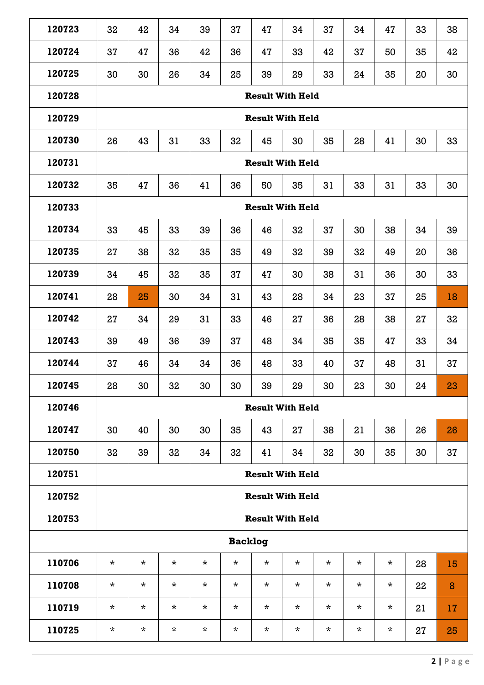| 120723 | 32                      | 42       | 34       | 39      | 37             | 47       | 34                      | 37       | 34       | 47      | 33 | 38 |  |  |
|--------|-------------------------|----------|----------|---------|----------------|----------|-------------------------|----------|----------|---------|----|----|--|--|
| 120724 | 37                      | 47       | 36       | 42      | 36             | 47       | 33                      | 42       | 37       | 50      | 35 | 42 |  |  |
| 120725 | 30                      | 30       | 26       | 34      | 25             | 39       | 29                      | 33       | 24       | 35      | 20 | 30 |  |  |
| 120728 | <b>Result With Held</b> |          |          |         |                |          |                         |          |          |         |    |    |  |  |
| 120729 | <b>Result With Held</b> |          |          |         |                |          |                         |          |          |         |    |    |  |  |
| 120730 | 26                      | 43       | 31       | 33      | 32             | 45       | 30                      | 35       | 28       | 41      | 30 | 33 |  |  |
| 120731 | <b>Result With Held</b> |          |          |         |                |          |                         |          |          |         |    |    |  |  |
| 120732 | 35                      | 47       | 36       | 41      | 36             | 50       | 35                      | 31       | 33       | 31      | 33 | 30 |  |  |
| 120733 | <b>Result With Held</b> |          |          |         |                |          |                         |          |          |         |    |    |  |  |
| 120734 | 33                      | 45       | 33       | 39      | 36             | 46       | 32                      | 37       | 30       | 38      | 34 | 39 |  |  |
| 120735 | 27                      | 38       | 32       | 35      | 35             | 49       | 32                      | 39       | 32       | 49      | 20 | 36 |  |  |
| 120739 | 34                      | 45       | 32       | 35      | 37             | 47       | 30                      | 38       | 31       | 36      | 30 | 33 |  |  |
| 120741 | 28                      | 25       | 30       | 34      | 31             | 43       | 28                      | 34       | 23       | 37      | 25 | 18 |  |  |
| 120742 | 27                      | 34       | 29       | 31      | 33             | 46       | 27                      | 36       | 28       | 38      | 27 | 32 |  |  |
| 120743 | 39                      | 49       | 36       | 39      | 37             | 48       | 34                      | 35       | 35       | 47      | 33 | 34 |  |  |
| 120744 | 37                      | 46       | 34       | 34      | 36             | 48       | 33                      | 40       | 37       | 48      | 31 | 37 |  |  |
| 120745 | 28                      | 30       | 32       | 30      | 30             | 39       | 29                      | 30       | 23       | 30      | 24 | 23 |  |  |
| 120746 |                         |          |          |         |                |          | <b>Result With Held</b> |          |          |         |    |    |  |  |
| 120747 | 30                      | 40       | 30       | 30      | 35             | 43       | 27                      | 38       | 21       | 36      | 26 | 26 |  |  |
| 120750 | 32                      | 39       | 32       | 34      | 32             | 41       | 34                      | 32       | 30       | 35      | 30 | 37 |  |  |
| 120751 |                         |          |          |         |                |          | <b>Result With Held</b> |          |          |         |    |    |  |  |
| 120752 |                         |          |          |         |                |          | <b>Result With Held</b> |          |          |         |    |    |  |  |
| 120753 |                         |          |          |         |                |          | <b>Result With Held</b> |          |          |         |    |    |  |  |
|        |                         |          |          |         | <b>Backlog</b> |          |                         |          |          |         |    |    |  |  |
| 110706 | $\star$                 | *        | $\star$  | $\star$ | $\star$        | $\star$  | $\star$                 | $\star$  | $\star$  | $\star$ | 28 | 15 |  |  |
| 110708 | $\star$                 | $\star$  | $\star$  | $\star$ | *              | $\star$  | $\star$                 | $\star$  | $\star$  | $\star$ | 22 | 8  |  |  |
| 110719 | $\star$                 | $\star$  | $\star$  | $\star$ | $\star$        | $\star$  | $\star$                 | $\star$  | $^\star$ | $\star$ | 21 | 17 |  |  |
| 110725 | $\star$                 | $^\star$ | $^\star$ | $\star$ | $^\star$       | $^\star$ | $^\star$                | $^\star$ | $^\star$ | $\star$ | 27 | 25 |  |  |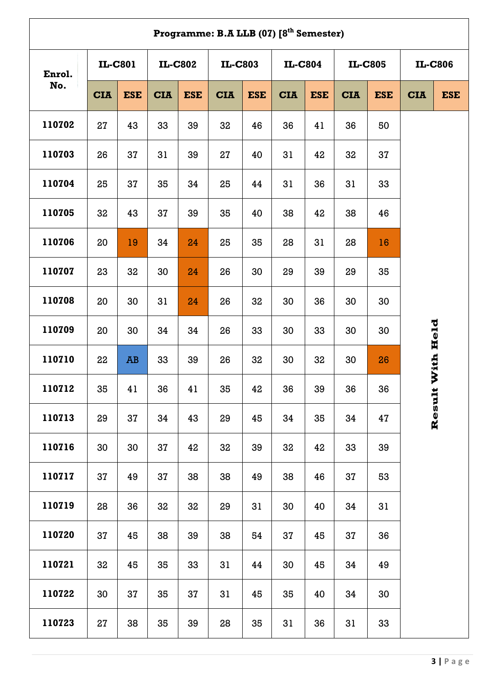| Programme: B.A LLB (07) [8 <sup>th</sup> Semester) |                |            |                |            |            |                |            |                |            |                |            |                |  |  |  |
|----------------------------------------------------|----------------|------------|----------------|------------|------------|----------------|------------|----------------|------------|----------------|------------|----------------|--|--|--|
| Enrol.<br>No.                                      | <b>IL-C801</b> |            | <b>IL-C802</b> |            |            | <b>IL-C803</b> |            | <b>IL-C804</b> |            | <b>IL-C805</b> |            | <b>IL-C806</b> |  |  |  |
|                                                    | <b>CIA</b>     | <b>ESE</b> | <b>CIA</b>     | <b>ESE</b> | <b>CIA</b> | <b>ESE</b>     | <b>CIA</b> | <b>ESE</b>     | <b>CIA</b> | <b>ESE</b>     | <b>CIA</b> | <b>ESE</b>     |  |  |  |
| 110702                                             | 27             | 43         | 33             | 39         | 32         | 46             | 36         | 41             | 36         | 50             |            |                |  |  |  |
| 110703                                             | 26             | 37         | 31             | 39         | 27         | 40             | 31         | 42             | 32         | 37             |            |                |  |  |  |
| 110704                                             | 25             | 37         | 35             | 34         | 25         | 44             | 31         | 36             | 31         | 33             |            |                |  |  |  |
| 110705                                             | 32             | 43         | 37             | 39         | 35         | 40             | 38         | 42             | 38         | 46             |            |                |  |  |  |
| 110706                                             | 20             | 19         | 34             | 24         | 25         | 35             | 28         | 31             | 28         | 16             |            |                |  |  |  |
| 110707                                             | 23             | 32         | 30             | 24         | 26         | 30             | 29         | 39             | 29         | 35             |            |                |  |  |  |
| 110708                                             | 20             | 30         | 31             | 24         | 26         | 32             | 30         | 36             | 30         | 30             |            |                |  |  |  |
| 110709                                             | 20             | 30         | 34             | 34         | 26         | 33             | 30         | 33             | 30         | 30             |            |                |  |  |  |
| 110710                                             | 22             | AB         | 33             | 39         | 26         | 32             | 30         | 32             | 30         | 26             |            | With Held      |  |  |  |
| 110712                                             | 35             | 41         | 36             | 41         | 35         | 42             | 36         | 39             | 36         | 36             |            |                |  |  |  |
| 110713                                             | 29             | 37         | 34             | 43         | 29         | 45             | 34         | 35             | 34         | 47             |            | Result         |  |  |  |
| 110716                                             | 30             | 30         | 37             | 42         | 32         | 39             | 32         | 42             | 33         | 39             |            |                |  |  |  |
| 110717                                             | 37             | 49         | 37             | 38         | 38         | 49             | 38         | 46             | 37         | 53             |            |                |  |  |  |
| 110719                                             | 28             | 36         | 32             | 32         | 29         | 31             | 30         | 40             | 34         | 31             |            |                |  |  |  |
| 110720                                             | 37             | 45         | 38             | 39         | 38         | 54             | 37         | 45             | 37         | 36             |            |                |  |  |  |
| 110721                                             | 32             | 45         | 35             | 33         | 31         | 44             | 30         | 45             | 34         | 49             |            |                |  |  |  |
| 110722                                             | 30             | 37         | 35             | 37         | 31         | 45             | 35         | 40             | 34         | 30             |            |                |  |  |  |
| 110723                                             | 27             | 38         | 35             | 39         | 28         | 35             | 31         | 36             | 31         | 33             |            |                |  |  |  |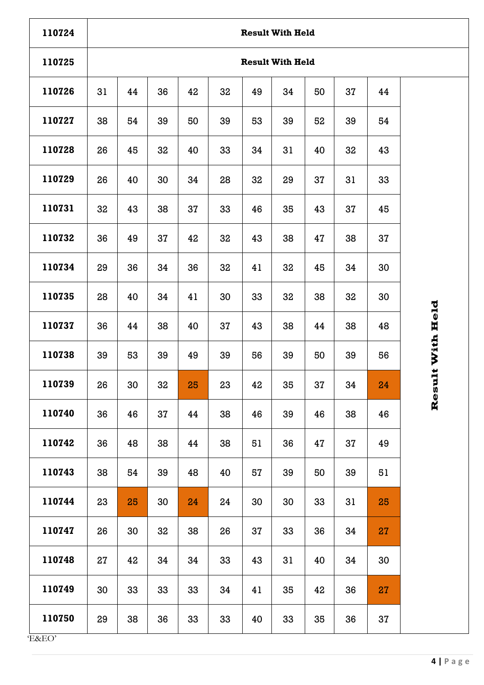| 110724 | <b>Result With Held</b> |    |    |    |    |    |    |    |    |    |  |  |  |
|--------|-------------------------|----|----|----|----|----|----|----|----|----|--|--|--|
| 110725 | <b>Result With Held</b> |    |    |    |    |    |    |    |    |    |  |  |  |
| 110726 | 31                      | 44 | 36 | 42 | 32 | 49 | 34 | 50 | 37 | 44 |  |  |  |
| 110727 | 38                      | 54 | 39 | 50 | 39 | 53 | 39 | 52 | 39 | 54 |  |  |  |
| 110728 | 26                      | 45 | 32 | 40 | 33 | 34 | 31 | 40 | 32 | 43 |  |  |  |
| 110729 | 26                      | 40 | 30 | 34 | 28 | 32 | 29 | 37 | 31 | 33 |  |  |  |
| 110731 | 32                      | 43 | 38 | 37 | 33 | 46 | 35 | 43 | 37 | 45 |  |  |  |
| 110732 | 36                      | 49 | 37 | 42 | 32 | 43 | 38 | 47 | 38 | 37 |  |  |  |
| 110734 | 29                      | 36 | 34 | 36 | 32 | 41 | 32 | 45 | 34 | 30 |  |  |  |
| 110735 | 28                      | 40 | 34 | 41 | 30 | 33 | 32 | 38 | 32 | 30 |  |  |  |
| 110737 | 36                      | 44 | 38 | 40 | 37 | 43 | 38 | 44 | 38 | 48 |  |  |  |
| 110738 | 39                      | 53 | 39 | 49 | 39 | 56 | 39 | 50 | 39 | 56 |  |  |  |
| 110739 | 26                      | 30 | 32 | 25 | 23 | 42 | 35 | 37 | 34 | 24 |  |  |  |
| 110740 | 36                      | 46 | 37 | 44 | 38 | 46 | 39 | 46 | 38 | 46 |  |  |  |
| 110742 | 36                      | 48 | 38 | 44 | 38 | 51 | 36 | 47 | 37 | 49 |  |  |  |
| 110743 | 38                      | 54 | 39 | 48 | 40 | 57 | 39 | 50 | 39 | 51 |  |  |  |
| 110744 | 23                      | 25 | 30 | 24 | 24 | 30 | 30 | 33 | 31 | 25 |  |  |  |
| 110747 | 26                      | 30 | 32 | 38 | 26 | 37 | 33 | 36 | 34 | 27 |  |  |  |
| 110748 | 27                      | 42 | 34 | 34 | 33 | 43 | 31 | 40 | 34 | 30 |  |  |  |
| 110749 | 30                      | 33 | 33 | 33 | 34 | 41 | 35 | 42 | 36 | 27 |  |  |  |
| 110750 | 29                      | 38 | 36 | 33 | 33 | 40 | 33 | 35 | 36 | 37 |  |  |  |

Result With Held **Result With Held**

'E&EO'